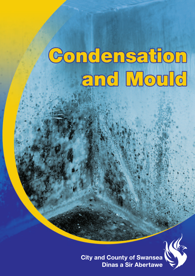# Condensation and Mould



**City and County of Swansea Dinas a Sir Abertawe**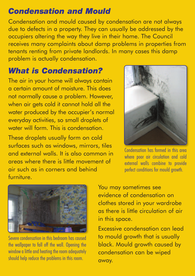### *Condensation and Mould*

Condensation and mould caused by condensation are not always due to defects in <sup>a</sup> property. They can usually be addressed by the occupiers altering the way they live in their home. The Council receives many complaints about damp problems in properties from tenants renting from private landlords. In many cases this damp problem is actually condensation.

# *What is Condensation?*

The air in your home will always contain a certain amount of moisture. This does not normally cause a problem. However, when air gets cold it cannot hold all the water produced by the occupier's normal everyday activities, so small droplets of water will form. This is condensation.

These droplets usually form on cold surfaces such as windows, mirrors, tiles and external walls. It is also common in areas where there is little movement of air such as in corners and behind furniture.



Condensation has formed in this area where poor air circulation and cold external walls combine to provide perfect conditions for mould growth.



Severe condensation in this bedroom has caused the wallpaper to fall off the wall. Opening the window a little and heating the room adequately should help reduce the problems in this room.

You may sometimes see evidence of condensation on clothes stored in your wardrobe as there is little circulation of air in this space.

Excessive condensation can lead to mould growth that is usually black. Mould growth caused by condensation can be wiped away.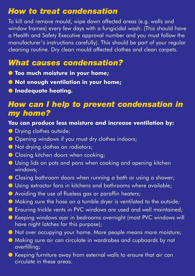### *How to treat condensation*

To kill and remove mould, wipe down affected areas (e.g. walls and window frames) every few days with <sup>a</sup> fungicidal wash. (This should have <sup>a</sup> Health and Safety Executive approval number and you must follow the manufacturer's instructions carefully). This should be par<sup>t</sup> of your regular cleaning routine. Dry clean mould affected clothes and clean carpets.

# *What causes condensation?*

- l **Too much moisture in your home;**
- l **Not enough ventilation in your home;**
- $\bullet$  **Inadequate heating.**

#### *How can I help to prevent condensation in my home?*

#### **You can produce less moisture and increase ventilation by:**

- **O** Drying clothes outside;
- **C** Opening windows if you must dry clothes indoors;
- **In Not drying clothes on radiators;**
- **C** Closing kitchen doors when cooking;
- **I** Using lids on pots and pans when cooking and opening kitchen windows;
- **Closing bathroom doors when running a bath or using a shower;**
- **I** Using extractor fans in kitchens and bathrooms where available:
- l Avoiding the use of flueless gas or paraffin heaters;
- l Making sure the hose on a tumble dryer is ventilated to the outside;
- **C** Ensuring trickle vents in PVC windows are used and well maintained;
- Keeping windows ajar in bedrooms overnight (most PVC windows will have night latches for this purpose);

l Not over occupying your home. More people means more moisture;

- l Making sure air can circulate in wardrobes and cupboards by not overfilling;
- l Keeping furniture away from external walls to ensure that air can circulate in these areas.